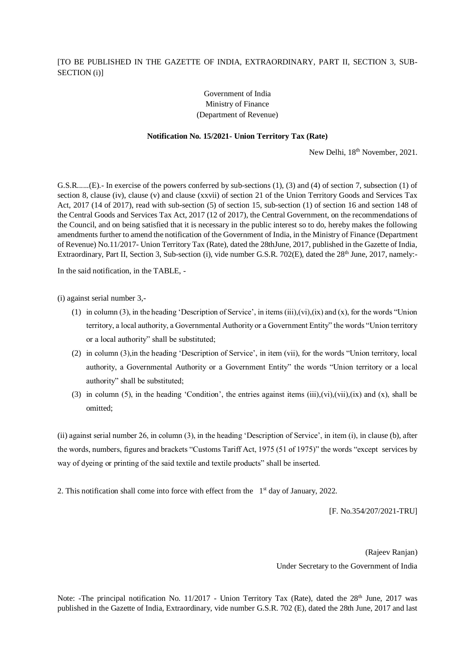## [TO BE PUBLISHED IN THE GAZETTE OF INDIA, EXTRAORDINARY, PART II, SECTION 3, SUB-SECTION (i)]

## Government of India Ministry of Finance (Department of Revenue)

## **Notification No. 15/2021- Union Territory Tax (Rate)**

New Delhi,  $18<sup>th</sup>$  November, 2021.

G.S.R...... $(E)$ . In exercise of the powers conferred by sub-sections (1), (3) and (4) of section 7, subsection (1) of section 8, clause (iv), clause (v) and clause (xxvii) of section 21 of the Union Territory Goods and Services Tax Act, 2017 (14 of 2017), read with sub-section (5) of section 15, sub-section (1) of section 16 and section 148 of the Central Goods and Services Tax Act, 2017 (12 of 2017), the Central Government, on the recommendations of the Council, and on being satisfied that it is necessary in the public interest so to do, hereby makes the following amendments further to amend the notification of the Government of India, in the Ministry of Finance (Department of Revenue) No.11/2017- Union Territory Tax (Rate), dated the 28thJune, 2017, published in the Gazette of India, Extraordinary, Part II, Section 3, Sub-section (i), vide number G.S.R. 702(E), dated the 28<sup>th</sup> June, 2017, namely:-

In the said notification, in the TABLE, -

(i) against serial number 3,-

- (1) in column (3), in the heading 'Description of Service', in items (iii),(vi),(ix) and (x), for the words "Union territory, a local authority, a Governmental Authority or a Government Entity" the words "Union territory or a local authority" shall be substituted;
- (2) in column (3),in the heading 'Description of Service', in item (vii), for the words "Union territory, local authority, a Governmental Authority or a Government Entity" the words "Union territory or a local authority" shall be substituted;
- (3) in column (5), in the heading 'Condition', the entries against items  $(iii)$ , $(vi)$ , $(vi)$ , $(ix)$  and  $(x)$ , shall be omitted;

(ii) against serial number 26, in column (3), in the heading 'Description of Service', in item (i), in clause (b), after the words, numbers, figures and brackets "Customs Tariff Act, 1975 (51 of 1975)" the words "except services by way of dyeing or printing of the said textile and textile products" shall be inserted.

2. This notification shall come into force with effect from the  $1<sup>st</sup>$  day of January, 2022.

[F. No.354/207/2021-TRU]

(Rajeev Ranjan) Under Secretary to the Government of India

Note: -The principal notification No. 11/2017 - Union Territory Tax (Rate), dated the 28<sup>th</sup> June, 2017 was published in the Gazette of India, Extraordinary, vide number G.S.R. 702 (E), dated the 28th June, 2017 and last